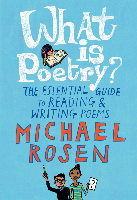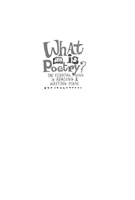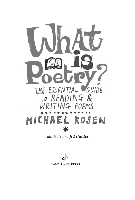

illustrated by Jill Calder

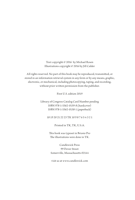Text copyright © 2016 by Michael Rosen Illustrations copyright © 2016 by Jill Calder

All rights reserved. No part of this book may be reproduced, transmitted, or stored in an information retrieval system in any form or by any means, graphic, electronic, or mechanical, including photocopying, taping, and recording, without prior written permission from the publisher.

First U.S. edition 2019

Library of Congress Catalog Card Number pending ISBN 978-1-5362-0159-8 (hardcover) ISBN 978-1-5362-0158-1 (paperback)

18 19 20 21 22 23 TK 10 9 8 7 6 5 4 3 2 1

Printed in TK, TK, U.S.A.

This book was typeset in Briosio Pro The illustrations were done in TK.

Candlewick Press 99 Dover Street Somerville, Massachusetts 02144

visit us at www.candlewick.com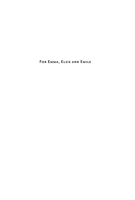FOR EMMA, ELSIE AND EMILE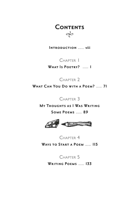

**INTRODUCTION ..... viii** 

CHAPTER |

WHAT IS POETRY? ..... |

CHAPTER 2

WHAT CAN YOU DO WITH A POEM? ..... 71

CHAPTER 3

**MY THOUGHTS AS I WAS WRITING** 

SOME POEMS ..... 89



CHAPTER 4

WAYS TO START A POEM ..... 115

CHAPTER 5

**WRITING POEMS** ..... 133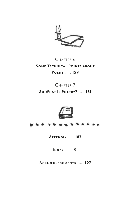

CHAPTER 6

#### **SOME TECHNICAL POINTS ABOUT** POEMS ..... 159

CHAPTER 7

SO WHAT IS POETRY? ..... 181



APPENDIX ..... 187

**INDEX ..... 191** 

ACKNOWLEDGMENTS ..... 197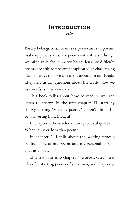### **INTRODUCTION**  $\div$

Poetry belongs to all of us; everyone can read poems, make up poems, or share poems with others. Though we often talk about poetry being dense or difficult, poems are able to present complicated or challenging ideas in ways that we can carry around in our heads. They help us ask questions about the world, how we use words, and who we are.

This book talks about how to read, write, and listen to poetry. In the first chapter, I'll start by simply asking, What is poetry? I don't think I'll be answering that, though!

In chapter 2, I consider a more practical question: What can you do with a poem?

In chapter 3, I talk about the writing process behind some of my poems and my personal experience as a poet.

This leads me into chapter 4, where I offer a few ideas for starting poems of your own, and chapter 5,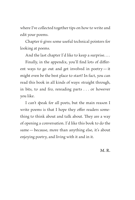where I've collected together tips on how to write and edit your poems.

Chapter 6 gives some useful technical pointers for looking at poems.

And the last chapter I'd like to keep a surprise. . . .

Finally, in the appendix, you'll find lots of different ways to go out and get involved in poetry — it might even be the best place to start! In fact, you can read this book in all kinds of ways: straight through, in bits, to and fro, rereading parts . . . or however you like.

I can't speak for all poets, but the main reason I write poems is that I hope they offer readers something to think about and talk about. They are a way of opening a conversation. I'd like this book to do the same — because, more than anything else, it's about enjoying poetry, and living with it and in it.

M. R.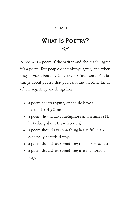#### CHAPTER 1

### **WHAT IS POETRY?**  $\div$

A poem is a poem if the writer and the reader agree it's a poem. But people don't always agree, and when they argue about it, they try to find some special things about poetry that you can't find in other kinds of writing. They say things like:

- 3 a poem has to **rhyme,** or should have a particular **rhythm;**
- 3 a poem should have **metaphors** and **similes** (I'l<sup>l</sup> be talking about these later on);
- a poem should say something beautiful in an especially beautiful way;
- $\bullet$  a poem should say something that surprises us;
- $\bullet$  a poem should say something in a memorable way.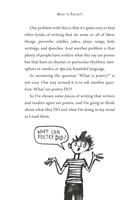One problem with this is that it's quite easy to find other kinds of writing that do some or all of these things: proverbs, riddles, jokes, plays, songs, holy writings, and speeches. And another problem is that plenty of people have written what *they* say are poems but that have no rhymes or particular rhythms, metaphors or similes, or special, beautiful language.

So answering the question "What is poetry?" is not easy. One way around it is to ask another question: What can poetry DO?

So I've chosen some pieces of writing that writers and readers agree are poems, and I'm going to think about what they DO and what I'm doing in my mind as I read them.

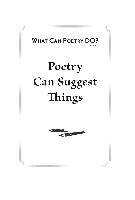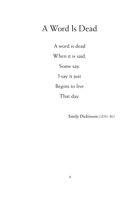## A Word Is Dead

A word is dead When it is said, Some say. I say it just Begins to live That day.

Emily Dickinson (1830–86)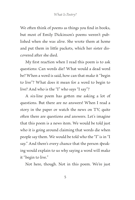We often think of poems as things you find in books, but most of Emily Dickinson's poems weren't published when she was alive. She wrote them at home and put them in little packets, which her sister discovered after she died.

My first reaction when I read this poem is to ask questions: Can words die? What would a dead word be? When a word is said, how can that make it "begin to live"? What does it mean for a word to begin to live? And who is the "I" who says "I say"?

A six-line poem has gotten me asking a lot of questions. But there are no answers! When I read a story in the paper or watch the news on TV, quite oft en there are questions *and* answers. Let's imagine that this poem is a news item. We would be told just who it is going around claiming that words die when people say them. We would be told who the "I" is in "I say." And there's every chance that the person speaking would explain to us why saying a word will make it "begin to live."

Not here, though. Not in this poem. We're just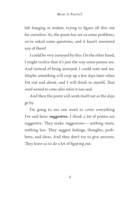left hanging in midair, trying to figure all this out for ourselves. So, the poem has set us some problems, we've asked some questions, and it hasn't answered any of them!

I could be very annoyed by this. On the other hand, I might realize that it's just the way some poems are. And instead of being annoyed, I could wait and see. Maybe something will crop up a few days later when I'm out and about, and I will think to myself, That *word seemed to come alive when it was said.* 

And then the poem will work itself out as the days go by.

I'm going to use one word to cover everything I've said here: **suggestive.** I think a lot of poems are suggestive. They make suggestions  $-$  nothing more, nothing less. They suggest feelings, thoughts, problems, and ideas. And they don't try to give answers. They leave us to do a lot of figuring out.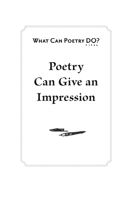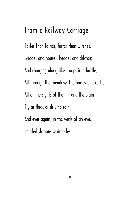## From a Railway Carriage

Faster than fairies, faster than witches,

Bridges and houses, hedges and ditches;

And charging along like troops in a battle,

All through the meadows the horses and cattle:

All of the sights of the hill and the plain

Fly as thick as driving rain;

And ever again, in the wink of an eye,

Painted stations whistle by.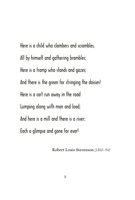Here is a child who clambers and scrambles, All by himself and gathering brambles; Here is a tramp who stands and gazes; And there is the green for stringing the daisies! Here is a cart run away in the road Lumping along with man and load; And here is a mill and there is a river: Each a glimpse and gone for ever!

Robert Louis Stevenson (1850–94)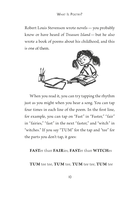Robert Louis Stevenson wrote novels — you probably know or have heard of *Treasure Island* — but he also wrote a book of poems about his childhood, and this is one of them.



When you read it, you can try tapping the rhythm just as you might when you hear a song. You can tap four times in each line of the poem. In the first line, for example, you can tap on "Fast" in "Faster," "fair" in "fairies," "fast" in the next "faster," and "witch" in "witches." If you say "TUM" for the tap and "tee" for the parts you don't tap, it goes:

#### **FAST**er than **FAIR**ies, **FAST**er than **WITCH**es

**TUM** tee tee, **TUM** tee, **TUM** tee tee, **TUM** tee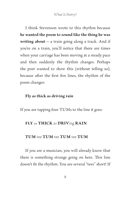I think Stevenson wrote to this rhythm because **he wanted the poem to sound like the thing he was writing about** — a train going along a track. And if you're on a train, you'll notice that there are times when your carriage has been moving at a steady pace and then suddenly the rhythm changes. Perhaps the poet wanted to show this (without telling us), because after the first five lines, the rhythm of the poem changes:

#### **Fly as thick as driving rain**

If you are tapping four TUMs to the line it goes:

#### **FLY** as **THICK** as **DRIV**ing **RAIN**

#### **TUM** tee **TUM** tee **TUM** tee **TUM**

If you are a musician, you will already know that there is something strange going on here. This line doesn't fit the rhythm. You are several "tees" short! If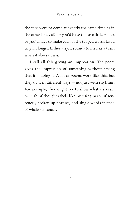the taps were to come at exactly the same time as in the other lines, either you'd have to leave little pauses or you'd have to make each of the tapped words last a tiny bit longer. Either way, it sounds to me like a train when it slows down.

I call all this **giving an impression.** The poem gives the impression of something without saying that it is doing it. A lot of poems work like this, but they do it in different ways - not just with rhythms. For example, they might try to show what a stream or rush of thoughts feels like by using parts of sentences, broken-up phrases, and single words instead of whole sentences.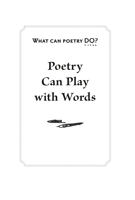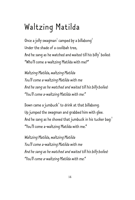# Waltzing Matilda

 $0$ nce a  $j$ olly swagman $^{\scriptscriptstyle 1}$  camped by a billabong $^{\scriptscriptstyle 2}$ *Under the shade of a coolibah tree, And he sang as he watched and waited till his billy*<sup>3</sup>  *boiled: "Who'll come a-waltzing Matilda with me?"*

*Waltzing Matilda, waltzing Matilda You'll come a-waltzing Matilda with me And he sang as he watched and waited till his billy boiled: "You'll come a-waltzing Matilda with me."*

*Down came a jumbuck*<sup>4</sup>  *to drink at that billabong. Up jumped the swagman and grabbed him with glee. And he sang as he shoved that jumbuck in his tucker bag:*<sup>5</sup> *"You'll come a-waltzing Matilda with me."*

*Waltzing Matilda, waltzing Matilda You'll come a-waltzing Matilda with me And he sang as he watched and waited till his billy boiled: "You'll come a-waltzing Matilda with me."*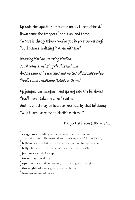Up rode the squatter, $^{\rm 6}$  mounted on his thoroughbred. $^7$ *Down came the troopers,*<sup>8</sup>  *one, two, and three. "Whose is that jumbuck you've got in your tucker bag? You'll come a-waltzing Matilda with me."*

*Waltzing Matilda, waltzing Matilda You'll come a-waltzing Matilda with me And he sang as he watched and waited till his billy boiled: "You'll come a-waltzing Matilda with me."*

*Up jumped the swagman and sprang into the billabong. "You'll never take me alive!" said he.*

*And his ghost may be heard as you pass by that billabong: "Who'll come a-waltzing Matilda with me?"*

#### Banjo Paterson (1864–1941)

1 swagman a traveling worker who worked on different sheep stations in the Australian countryside (or "the outback") 2 **billabong** a pool left behind when a river has changed course 3 **billy** a little can or pot you put on a fire to cook with 4 **jumbuck** a kind of sheep 5  **tucker bag** a food bag 6 **squatt er** a well-off landowner, usually English in origin 7 **thoroughbred** a very good purebred horse 8 **troopers** mounted police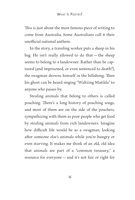This is just about the most famous piece of writing to come from Australia. Some Australians call it their unofficial national anthem.

In the story, a traveling worker puts a sheep in his bag. He isn't really allowed to do that — the sheep seems to belong to a landowner. Rather than be captured (and imprisoned, or even sentenced to death?), the swagman drowns himself in the billabong. Then his ghost can be heard singing "Waltzing Matilda" to anyone who passes by.

Stealing animals that belong to others is called poaching. There's a long history of poaching songs, and most of them are on the side of the poachers, sympathizing with them as poor people who get food by stealing animals from rich landowners. Imagine how difficult life would be as a swagman, looking after someone else's animals while you're hungry or even starving. It makes me think of an old, old idea that animals are part of a "common treasury," a resource for everyone — and it's not fair or right for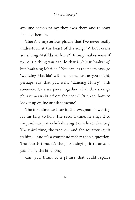any one person to say they own them and to start fencing them in.

There's a mysterious phrase that I've never really understood at the heart of the song: "Who'll come a-waltzing Matilda with me?" It only makes sense if there is a thing you can do that isn't just "waltzing" but "waltzing Matilda." You can, as the poem says, go "waltzing Matilda" with someone, just as you might, perhaps, say that you went "dancing Harry" with someone. Can we piece together what this strange phrase means just from the poem? Or do we have to look it up online or ask someone?

The first time we hear it, the swagman is waiting for his billy to boil. The second time, he sings it to the jumbuck just as he's shoving it into his tucker bag. The third time, the troopers and the squatter say it to him — and it's a command rather than a question. The fourth time, it's the ghost singing it to anyone passing by the billabong.

Can you think of a phrase that could replace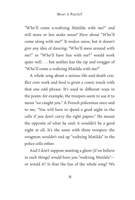"Who'll come a-waltzing Matilda with me?" and still more or less make sense? How about "Who'll come along with me?" It makes sense, but it doesn't give any idea of dancing. "Who'll mess around with me?" or "Who'll have fun with me?" would work quite well . . . but neither has the zip and swagger of "Who'll come a-waltzing Matilda with me?"

A whole song about a serious life-and-death conflict over work and food is given a comic touch with that one odd phrase. It's used in different ways in the poem: for example, the troopers seem to use it to mean "we caught you." A French policeman once said to me, "You will have to spend a good night in the cells if you don't carry the right papers." He meant the opposite of what he said: it wouldn't be a good night at all. It's the same with those troopers: the swagman wouldn't end up "waltzing Matilda" in the police cells either.

And I don't suppose meeting a ghost (if we believe in such things) would have you "waltzing Matilda" or would it? Is that the fun of the whole song? We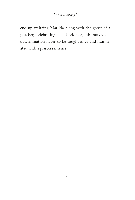end up waltzing Matilda along with the ghost of a poacher, celebrating his cheekiness, his nerve, his determination never to be caught alive and humiliated with a prison sentence.